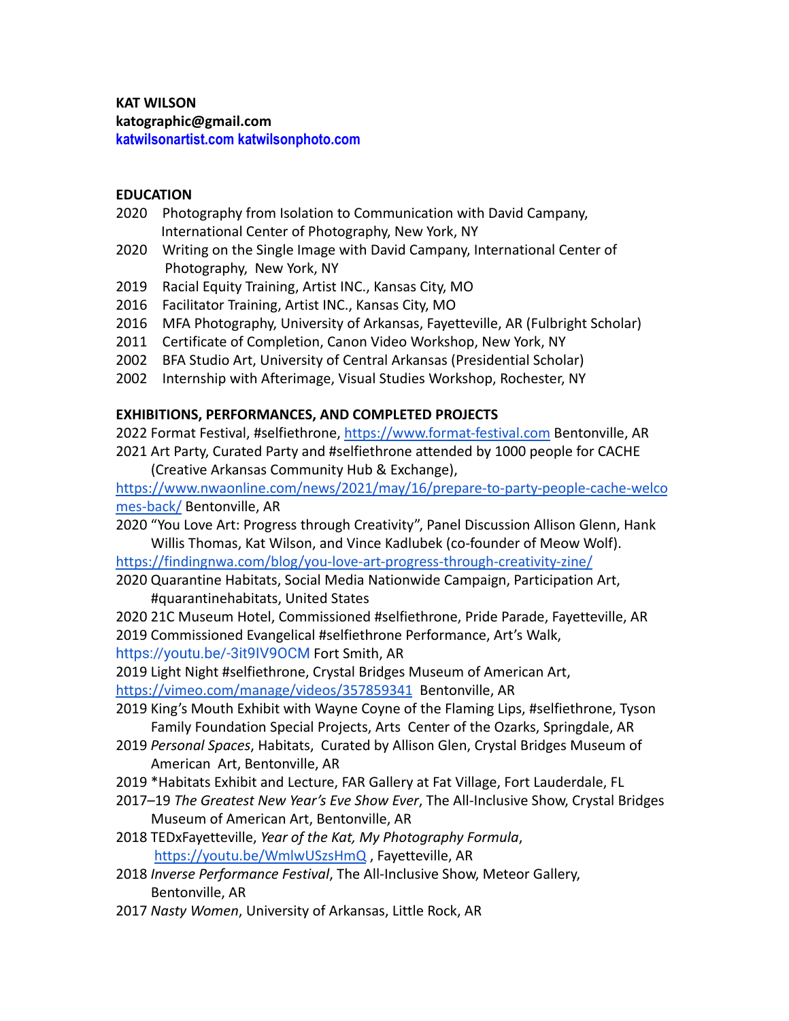# **KAT WILSON**

**katographic@gmail.com**

**katwilsonartist.com katwilsonphoto.com**

# **EDUCATION**

- 2020 Photography from Isolation to Communication with David Campany, International Center of Photography, New York, NY
- 2020 Writing on the Single Image with David Campany, International Center of Photography, New York, NY
- 2019 Racial Equity Training, Artist INC., Kansas City, MO
- 2016 Facilitator Training, Artist INC., Kansas City, MO
- 2016 MFA Photography, University of Arkansas, Fayetteville, AR (Fulbright Scholar)
- 2011 Certificate of Completion, Canon Video Workshop, New York, NY
- 2002 BFA Studio Art, University of Central Arkansas (Presidential Scholar)
- 2002 Internship with Afterimage, Visual Studies Workshop, Rochester, NY

# **EXHIBITIONS, PERFORMANCES, AND COMPLETED PROJECTS**

- 2022 Format Festival, #selfiethrone, <https://www.format-festival.com> Bentonville, AR
- 2021 Art Party, Curated Party and #selfiethrone attended by 1000 people for CACHE (Creative Arkansas Community Hub & Exchange),

[https://www.nwaonline.com/news/2021/may/16/prepare-to-party-people-cache-welco](https://www.nwaonline.com/news/2021/may/16/prepare-to-party-people-cache-welcomes-back/) [mes-back/](https://www.nwaonline.com/news/2021/may/16/prepare-to-party-people-cache-welcomes-back/) Bentonville, AR

2020 "You Love Art: Progress through Creativity", Panel Discussion Allison Glenn, Hank Willis Thomas, Kat Wilson, and Vince Kadlubek (co-founder of Meow Wolf).

<https://findingnwa.com/blog/you-love-art-progress-through-creativity-zine/>

- 2020 Quarantine Habitats, Social Media Nationwide Campaign, Participation Art, #quarantinehabitats, United States
- 2020 21C Museum Hotel, Commissioned #selfiethrone, Pride Parade, Fayetteville, AR 2019 Commissioned Evangelical #selfiethrone Performance, Art's Walk,

<https://youtu.be/-3it9IV9OCM> Fort Smith, AR

2019 Light Night #selfiethrone, Crystal Bridges Museum of American Art,

<https://vimeo.com/manage/videos/357859341> Bentonville, AR

- 2019 King's Mouth Exhibit with Wayne Coyne of the Flaming Lips, #selfiethrone, Tyson Family Foundation Special Projects, Arts Center of the Ozarks, Springdale, AR
- 2019 *Personal Spaces*, Habitats, Curated by Allison Glen, Crystal Bridges Museum of American Art, Bentonville, AR
- 2019 \*Habitats Exhibit and Lecture, FAR Gallery at Fat Village, Fort Lauderdale, FL
- 2017–19 *The Greatest New Year's Eve Show Ever*, The All-Inclusive Show, Crystal Bridges Museum of American Art, Bentonville, AR
- 2018 TEDxFayetteville, *Year of the Kat, My Photography Formula*, <https://youtu.be/WmlwUSzsHmQ> , Fayetteville, AR
- 2018 *Inverse Performance Festival*, The All-Inclusive Show, Meteor Gallery, Bentonville, AR
- 2017 *Nasty Women*, University of Arkansas, Little Rock, AR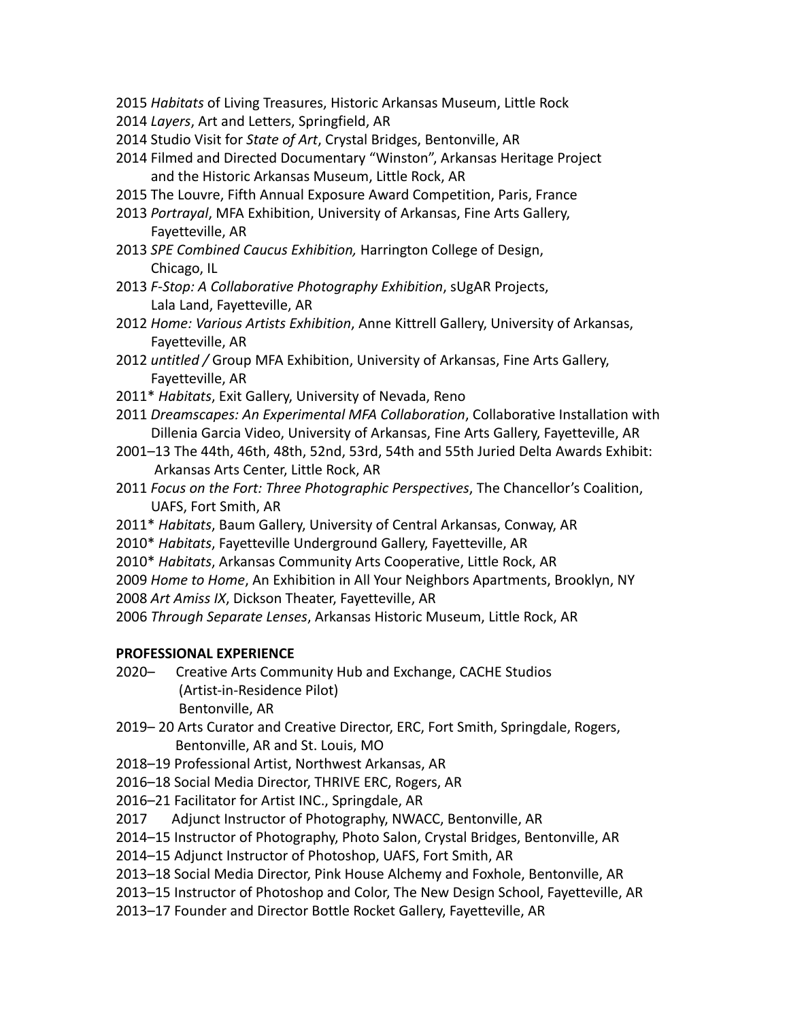- 2015 *Habitats* of Living Treasures, Historic Arkansas Museum, Little Rock
- 2014 *Layers*, Art and Letters, Springfield, AR
- 2014 Studio Visit for *State of Art*, Crystal Bridges, Bentonville, AR
- 2014 Filmed and Directed Documentary "Winston", Arkansas Heritage Project and the Historic Arkansas Museum, Little Rock, AR
- 2015 The Louvre, Fifth Annual Exposure Award Competition, Paris, France
- 2013 *Portrayal*, MFA Exhibition, University of Arkansas, Fine Arts Gallery, Fayetteville, AR
- 2013 *SPE Combined Caucus Exhibition,* Harrington College of Design, Chicago, IL
- 2013 *F-Stop: A Collaborative Photography Exhibition*, sUgAR Projects, Lala Land, Fayetteville, AR
- 2012 *Home: Various Artists Exhibition*, Anne Kittrell Gallery, University of Arkansas, Fayetteville, AR
- 2012 *untitled /* Group MFA Exhibition, University of Arkansas, Fine Arts Gallery, Fayetteville, AR
- 2011\* *Habitats*, Exit Gallery, University of Nevada, Reno
- 2011 *Dreamscapes: An Experimental MFA Collaboration*, Collaborative Installation with Dillenia Garcia Video, University of Arkansas, Fine Arts Gallery, Fayetteville, AR
- 2001–13 The 44th, 46th, 48th, 52nd, 53rd, 54th and 55th Juried Delta Awards Exhibit: Arkansas Arts Center, Little Rock, AR
- 2011 *Focus on the Fort: Three Photographic Perspectives*, The Chancellor's Coalition, UAFS, Fort Smith, AR
- 2011\* *Habitats*, Baum Gallery, University of Central Arkansas, Conway, AR
- 2010\* *Habitats*, Fayetteville Underground Gallery, Fayetteville, AR
- 2010\* *Habitats*, Arkansas Community Arts Cooperative, Little Rock, AR
- 2009 *Home to Home*, An Exhibition in All Your Neighbors Apartments, Brooklyn, NY
- 2008 *Art Amiss IX*, Dickson Theater, Fayetteville, AR
- 2006 *Through Separate Lenses*, Arkansas Historic Museum, Little Rock, AR

### **PROFESSIONAL EXPERIENCE**

- 2020– Creative Arts Community Hub and Exchange, CACHE Studios (Artist-in-Residence Pilot) Bentonville, AR
- 2019– 20 Arts Curator and Creative Director, ERC, Fort Smith, Springdale, Rogers, Bentonville, AR and St. Louis, MO
- 2018–19 Professional Artist, Northwest Arkansas, AR
- 2016–18 Social Media Director, THRIVE ERC, Rogers, AR
- 2016–21 Facilitator for Artist INC., Springdale, AR
- 2017 Adjunct Instructor of Photography, NWACC, Bentonville, AR
- 2014–15 Instructor of Photography, Photo Salon, Crystal Bridges, Bentonville, AR
- 2014–15 Adjunct Instructor of Photoshop, UAFS, Fort Smith, AR
- 2013–18 Social Media Director, Pink House Alchemy and Foxhole, Bentonville, AR
- 2013–15 Instructor of Photoshop and Color, The New Design School, Fayetteville, AR
- 2013–17 Founder and Director Bottle Rocket Gallery, Fayetteville, AR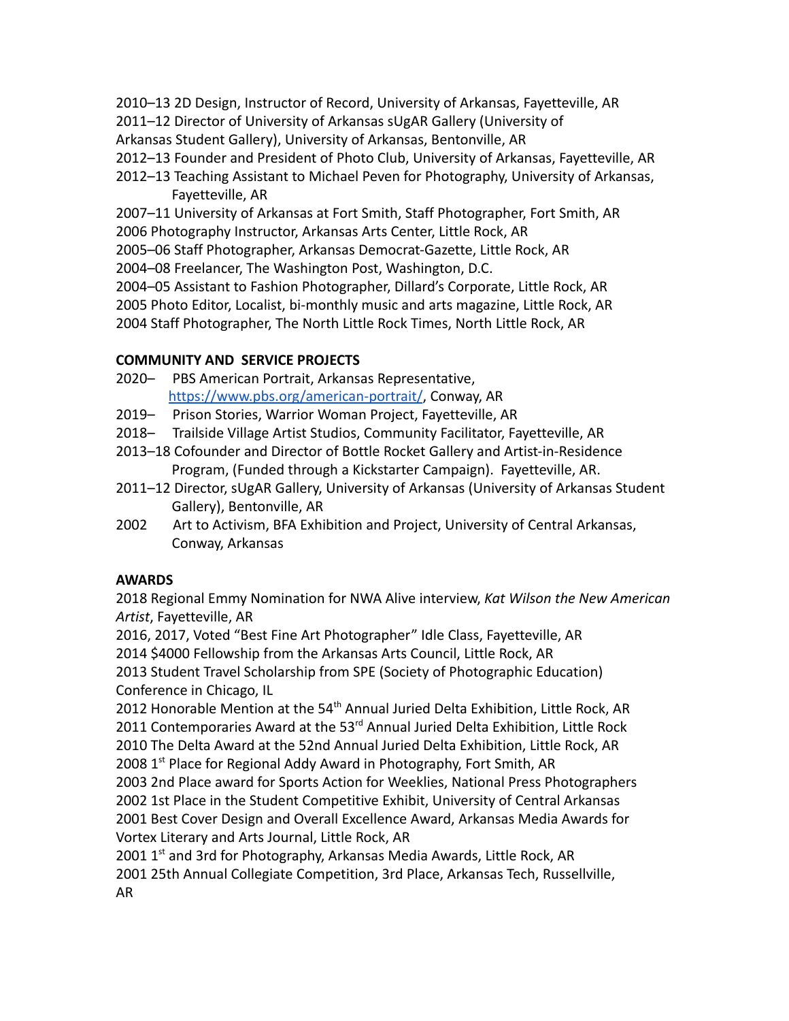- 2010–13 2D Design, Instructor of Record, University of Arkansas, Fayetteville, AR
- 2011–12 Director of University of Arkansas sUgAR Gallery (University of
- Arkansas Student Gallery), University of Arkansas, Bentonville, AR
- 2012–13 Founder and President of Photo Club, University of Arkansas, Fayetteville, AR
- 2012–13 Teaching Assistant to Michael Peven for Photography, University of Arkansas, Fayetteville, AR
- 2007–11 University of Arkansas at Fort Smith, Staff Photographer, Fort Smith, AR
- 2006 Photography Instructor, Arkansas Arts Center, Little Rock, AR
- 2005–06 Staff Photographer, Arkansas Democrat-Gazette, Little Rock, AR
- 2004–08 Freelancer, The Washington Post, Washington, D.C.
- 2004–05 Assistant to Fashion Photographer, Dillard's Corporate, Little Rock, AR
- 2005 Photo Editor, Localist, bi-monthly music and arts magazine, Little Rock, AR
- 2004 Staff Photographer, The North Little Rock Times, North Little Rock, AR

# **COMMUNITY AND SERVICE PROJECTS**

- 2020– PBS American Portrait, Arkansas Representative, <https://www.pbs.org/american-portrait/>, Conway, AR
- 2019– Prison Stories, Warrior Woman Project, Fayetteville, AR
- 2018– Trailside Village Artist Studios, Community Facilitator, Fayetteville, AR
- 2013–18 Cofounder and Director of Bottle Rocket Gallery and Artist-in-Residence Program, (Funded through a Kickstarter Campaign). Fayetteville, AR.
- 2011–12 Director, sUgAR Gallery, University of Arkansas (University of Arkansas Student Gallery), Bentonville, AR
- 2002 Art to Activism, BFA Exhibition and Project, University of Central Arkansas, Conway, Arkansas

# **AWARDS**

2018 Regional Emmy Nomination for NWA Alive interview, *Kat Wilson the New American Artist*, Fayetteville, AR

2016, 2017, Voted "Best Fine Art Photographer" Idle Class, Fayetteville, AR

2014 \$4000 Fellowship from the Arkansas Arts Council, Little Rock, AR

2013 Student Travel Scholarship from SPE (Society of Photographic Education) Conference in Chicago, IL

2012 Honorable Mention at the 54<sup>th</sup> Annual Juried Delta Exhibition, Little Rock, AR 2011 Contemporaries Award at the 53<sup>rd</sup> Annual Juried Delta Exhibition, Little Rock 2010 The Delta Award at the 52nd Annual Juried Delta Exhibition, Little Rock, AR 2008 1<sup>st</sup> Place for Regional Addy Award in Photography, Fort Smith, AR

2003 2nd Place award for Sports Action for Weeklies, National Press Photographers 2002 1st Place in the Student Competitive Exhibit, University of Central Arkansas 2001 Best Cover Design and Overall Excellence Award, Arkansas Media Awards for Vortex Literary and Arts Journal, Little Rock, AR

2001 1<sup>st</sup> and 3rd for Photography, Arkansas Media Awards, Little Rock, AR 2001 25th Annual Collegiate Competition, 3rd Place, Arkansas Tech, Russellville, AR